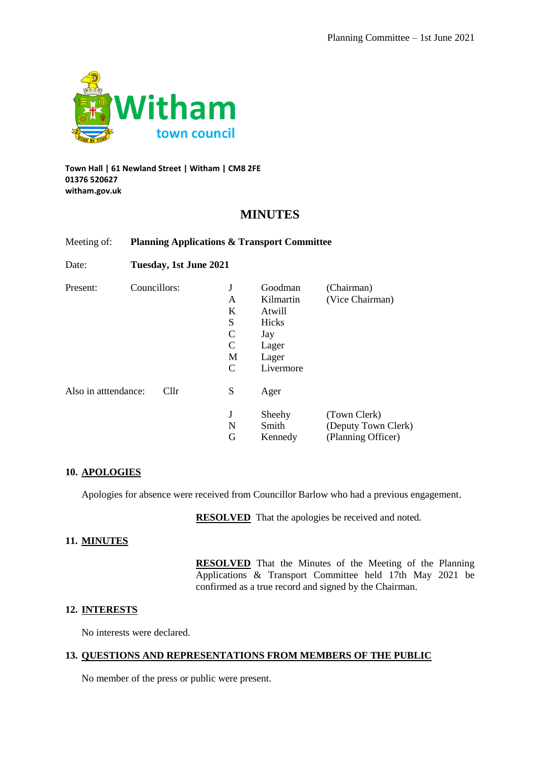

#### **Town Hall | 61 Newland Street | Witham | CM8 2FE 01376 520627 witham.gov.uk**

## **MINUTES**

## Meeting of: **Planning Applications & Transport Committee**

Date: **Tuesday, 1st June 2021**

| Present:             | Councillors:    | J | Goodman   | (Chairman)          |  |  |  |
|----------------------|-----------------|---|-----------|---------------------|--|--|--|
|                      |                 | A | Kilmartin | (Vice Chairman)     |  |  |  |
|                      |                 | K | Atwill    |                     |  |  |  |
|                      |                 | S | Hicks     |                     |  |  |  |
|                      |                 | C | Jay       |                     |  |  |  |
|                      |                 | C | Lager     |                     |  |  |  |
|                      |                 | M | Lager     |                     |  |  |  |
|                      |                 | C | Livermore |                     |  |  |  |
| Also in atttendance: | Cl <sub>1</sub> | S | Ager      |                     |  |  |  |
|                      |                 | J | Sheehy    | (Town Clerk)        |  |  |  |
|                      |                 | N | Smith     | (Deputy Town Clerk) |  |  |  |
|                      |                 | G | Kennedy   | (Planning Officer)  |  |  |  |

#### **10. APOLOGIES**

Apologies for absence were received from Councillor Barlow who had a previous engagement.

**RESOLVED** That the apologies be received and noted.

#### **11. MINUTES**

**RESOLVED** That the Minutes of the Meeting of the Planning Applications & Transport Committee held 17th May 2021 be confirmed as a true record and signed by the Chairman.

#### **12. INTERESTS**

No interests were declared.

## **13. QUESTIONS AND REPRESENTATIONS FROM MEMBERS OF THE PUBLIC**

No member of the press or public were present.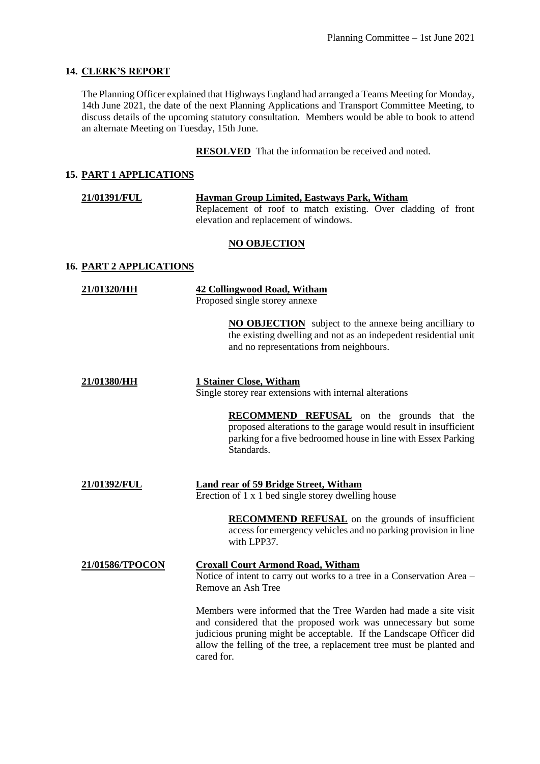## **14. CLERK'S REPORT**

The Planning Officer explained that Highways England had arranged a Teams Meeting for Monday, 14th June 2021, the date of the next Planning Applications and Transport Committee Meeting, to discuss details of the upcoming statutory consultation. Members would be able to book to attend an alternate Meeting on Tuesday, 15th June.

**RESOLVED** That the information be received and noted.

## **15. PART 1 APPLICATIONS**

| <b>21/01391/FUL</b> | Hayman Group Limited, Eastways Park, Witham                   |  |  |  |  |  |
|---------------------|---------------------------------------------------------------|--|--|--|--|--|
|                     | Replacement of roof to match existing. Over cladding of front |  |  |  |  |  |
|                     | elevation and replacement of windows.                         |  |  |  |  |  |

#### **NO OBJECTION**

#### **16. PART 2 APPLICATIONS**

| 21/01320/HH     | <b>42 Collingwood Road, Witham</b><br>Proposed single storey annexe                                                                                                                                                                                                                              |  |  |  |
|-----------------|--------------------------------------------------------------------------------------------------------------------------------------------------------------------------------------------------------------------------------------------------------------------------------------------------|--|--|--|
|                 | <b>NO OBJECTION</b> subject to the annexe being ancilliary to<br>the existing dwelling and not as an indepedent residential unit<br>and no representations from neighbours.                                                                                                                      |  |  |  |
| 21/01380/HH     | <b>1 Stainer Close, Witham</b><br>Single storey rear extensions with internal alterations                                                                                                                                                                                                        |  |  |  |
|                 | <b>RECOMMEND REFUSAL</b> on the grounds that the<br>proposed alterations to the garage would result in insufficient<br>parking for a five bedroomed house in line with Essex Parking<br>Standards.                                                                                               |  |  |  |
| 21/01392/FUL    | <b>Land rear of 59 Bridge Street, Witham</b><br>Erection of 1 x 1 bed single storey dwelling house                                                                                                                                                                                               |  |  |  |
|                 | <b>RECOMMEND REFUSAL</b> on the grounds of insufficient<br>access for emergency vehicles and no parking provision in line<br>with LPP37.                                                                                                                                                         |  |  |  |
| 21/01586/TPOCON | <b>Croxall Court Armond Road, Witham</b><br>Notice of intent to carry out works to a tree in a Conservation Area –<br>Remove an Ash Tree                                                                                                                                                         |  |  |  |
|                 | Members were informed that the Tree Warden had made a site visit<br>and considered that the proposed work was unnecessary but some<br>judicious pruning might be acceptable. If the Landscape Officer did<br>allow the felling of the tree, a replacement tree must be planted and<br>cared for. |  |  |  |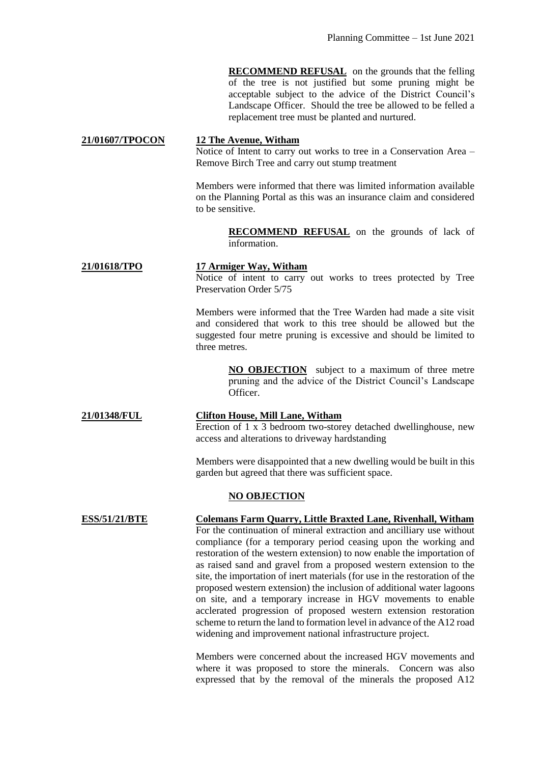**RECOMMEND REFUSAL** on the grounds that the felling of the tree is not justified but some pruning might be acceptable subject to the advice of the District Council's Landscape Officer. Should the tree be allowed to be felled a replacement tree must be planted and nurtured.

# **21/01607/TPOCON 12 The Avenue, Witham**

Notice of Intent to carry out works to tree in a Conservation Area – Remove Birch Tree and carry out stump treatment

Members were informed that there was limited information available on the Planning Portal as this was an insurance claim and considered to be sensitive.

> **RECOMMEND REFUSAL** on the grounds of lack of information.

## **21/01618/TPO 17 Armiger Way, Witham**

Notice of intent to carry out works to trees protected by Tree Preservation Order 5/75

Members were informed that the Tree Warden had made a site visit and considered that work to this tree should be allowed but the suggested four metre pruning is excessive and should be limited to three metres.

> **NO OBJECTION** subject to a maximum of three metre pruning and the advice of the District Council's Landscape Officer.

#### **21/01348/FUL Clifton House, Mill Lane, Witham**

Erection of 1 x 3 bedroom two-storey detached dwellinghouse, new access and alterations to driveway hardstanding

Members were disappointed that a new dwelling would be built in this garden but agreed that there was sufficient space.

#### **NO OBJECTION**

**ESS/51/21/BTE Colemans Farm Quarry, Little Braxted Lane, Rivenhall, Witham** For the continuation of mineral extraction and ancilliary use without compliance (for a temporary period ceasing upon the working and restoration of the western extension) to now enable the importation of as raised sand and gravel from a proposed western extension to the site, the importation of inert materials (for use in the restoration of the proposed western extension) the inclusion of additional water lagoons on site, and a temporary increase in HGV movements to enable acclerated progression of proposed western extension restoration scheme to return the land to formation level in advance of the A12 road widening and improvement national infrastructure project.

> Members were concerned about the increased HGV movements and where it was proposed to store the minerals. Concern was also expressed that by the removal of the minerals the proposed A12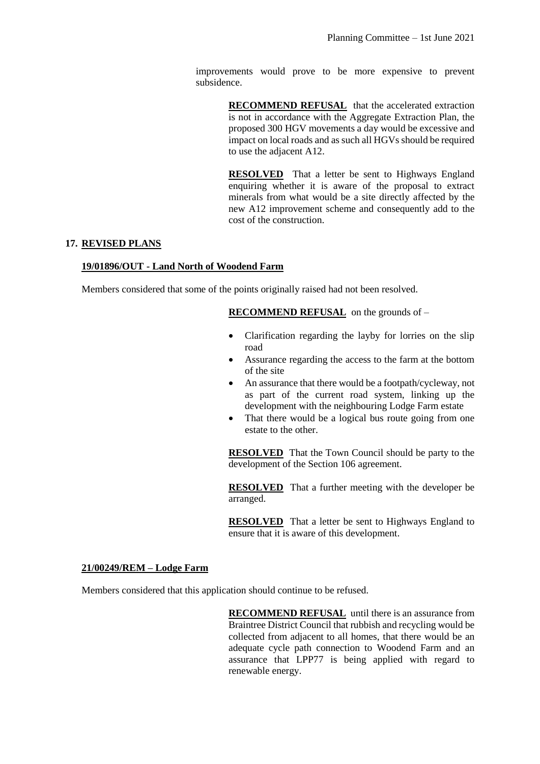improvements would prove to be more expensive to prevent subsidence.

> **RECOMMEND REFUSAL** that the accelerated extraction is not in accordance with the Aggregate Extraction Plan, the proposed 300 HGV movements a day would be excessive and impact on local roads and as such all HGVs should be required to use the adjacent A12.

> **RESOLVED** That a letter be sent to Highways England enquiring whether it is aware of the proposal to extract minerals from what would be a site directly affected by the new A12 improvement scheme and consequently add to the cost of the construction.

## **17. REVISED PLANS**

#### **19/01896/OUT - Land North of Woodend Farm**

Members considered that some of the points originally raised had not been resolved.

**RECOMMEND REFUSAL** on the grounds of –

- Clarification regarding the layby for lorries on the slip road
- Assurance regarding the access to the farm at the bottom of the site
- An assurance that there would be a footpath/cycleway, not as part of the current road system, linking up the development with the neighbouring Lodge Farm estate
- That there would be a logical bus route going from one estate to the other.

**RESOLVED** That the Town Council should be party to the development of the Section 106 agreement.

**RESOLVED** That a further meeting with the developer be arranged.

**RESOLVED** That a letter be sent to Highways England to ensure that it is aware of this development.

#### **21/00249/REM – Lodge Farm**

Members considered that this application should continue to be refused.

**RECOMMEND REFUSAL** until there is an assurance from Braintree District Council that rubbish and recycling would be collected from adjacent to all homes, that there would be an adequate cycle path connection to Woodend Farm and an assurance that LPP77 is being applied with regard to renewable energy.